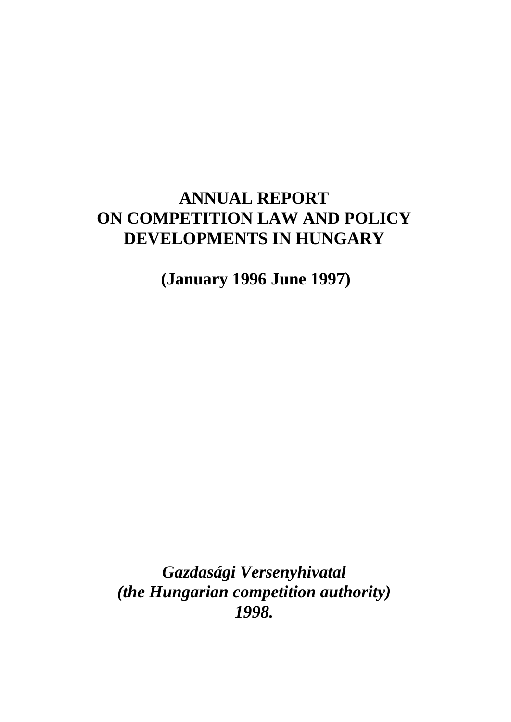# **ANNUAL REPORT ON COMPETITION LAW AND POLICY DEVELOPMENTS IN HUNGARY**

 **(January 1996 June 1997)**

*Gazdasági Versenyhivatal (the Hungarian competition authority) 1998.*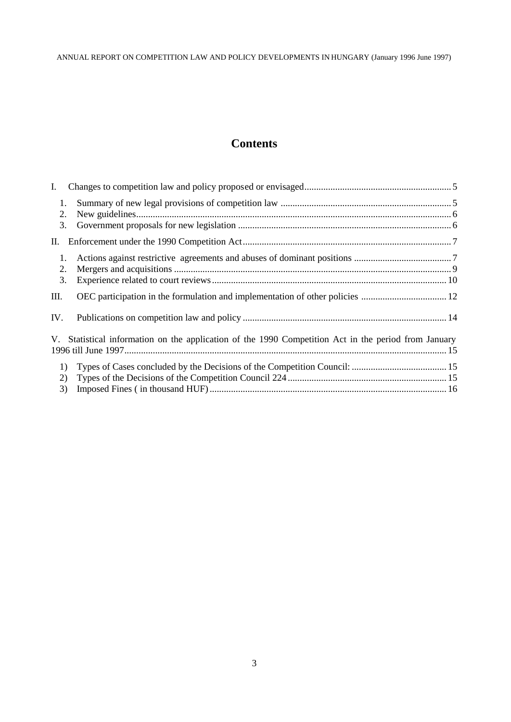# **Contents**

| $\mathbf{I}$ . |                                                                                                      |  |
|----------------|------------------------------------------------------------------------------------------------------|--|
| 2.             | 1.                                                                                                   |  |
|                | 3.                                                                                                   |  |
|                |                                                                                                      |  |
| 1.<br>2.       |                                                                                                      |  |
|                | 3.                                                                                                   |  |
| Ш.             |                                                                                                      |  |
| IV.            |                                                                                                      |  |
|                | V. Statistical information on the application of the 1990 Competition Act in the period from January |  |
|                | 1)                                                                                                   |  |
|                | 2)                                                                                                   |  |
|                | 3)                                                                                                   |  |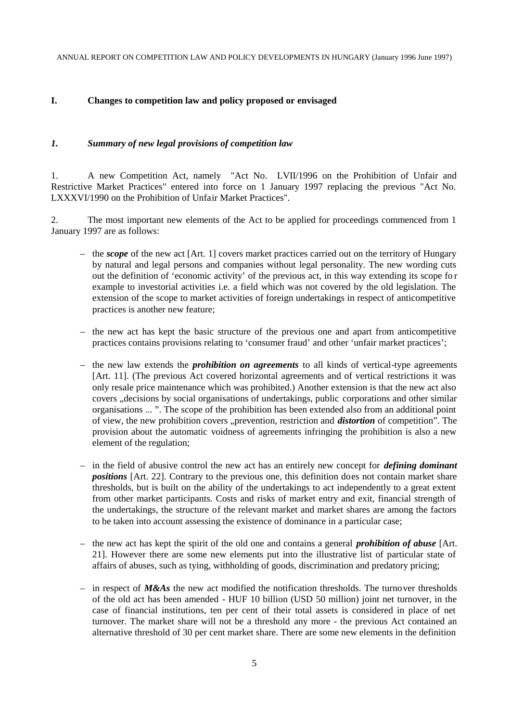## **I. Changes to competition law and policy proposed or envisaged**

#### *1. Summary of new legal provisions of competition law*

1. A new Competition Act, namely "Act No. LVII/1996 on the Prohibition of Unfair and Restrictive Market Practices" entered into force on 1 January 1997 replacing the previous "Act No. LXXXVI/1990 on the Prohibition of Unfair Market Practices".

2. The most important new elements of the Act to be applied for proceedings commenced from 1 January 1997 are as follows:

- the *scope* of the new act [Art. 1] covers market practices carried out on the territory of Hungary by natural and legal persons and companies without legal personality. The new wording cuts out the definition of 'economic activity' of the previous act, in this way extending its scope fo r example to investorial activities i.e. a field which was not covered by the old legislation. The extension of the scope to market activities of foreign undertakings in respect of anticompetitive practices is another new feature;
- the new act has kept the basic structure of the previous one and apart from anticompetitive practices contains provisions relating to 'consumer fraud' and other 'unfair market practices';
- the new law extends the *prohibition on agreements* to all kinds of vertical-type agreements [Art. 11]. (The previous Act covered horizontal agreements and of vertical restrictions it was only resale price maintenance which was prohibited.) Another extension is that the new act also covers , decisions by social organisations of undertakings, public corporations and other similar organisations ... ". The scope of the prohibition has been extended also from an additional point of view, the new prohibition covers "prevention, restriction and *distortion* of competition". The provision about the automatic voidness of agreements infringing the prohibition is also a new element of the regulation;
- in the field of abusive control the new act has an entirely new concept for *defining dominant positions* [Art. 22]. Contrary to the previous one, this definition does not contain market share thresholds, but is built on the ability of the undertakings to act independently to a great extent from other market participants. Costs and risks of market entry and exit, financial strength of the undertakings, the structure of the relevant market and market shares are among the factors to be taken into account assessing the existence of dominance in a particular case;
- the new act has kept the spirit of the old one and contains a general *prohibition of abuse* [Art. 21]. However there are some new elements put into the illustrative list of particular state of affairs of abuses, such as tying, withholding of goods, discrimination and predatory pricing;
- $-$  in respect of *M&As* the new act modified the notification thresholds. The turnover thresholds of the old act has been amended - HUF 10 billion (USD 50 million) joint net turnover, in the case of financial institutions, ten per cent of their total assets is considered in place of net turnover. The market share will not be a threshold any more - the previous Act contained an alternative threshold of 30 per cent market share. There are some new elements in the definition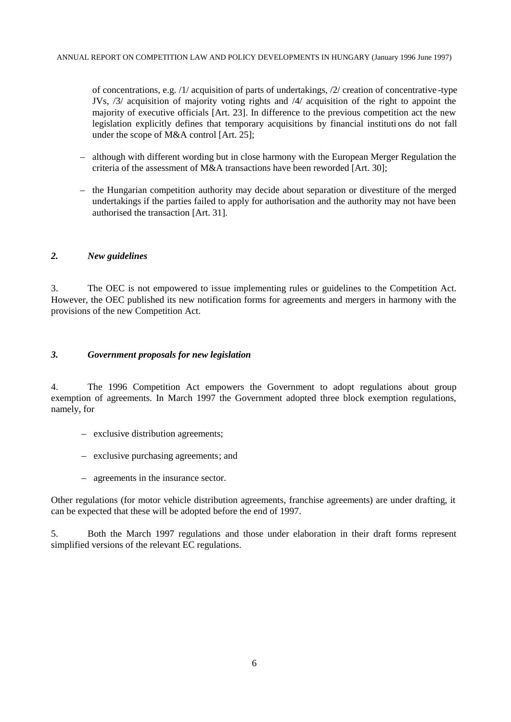of concentrations, e.g. /1/ acquisition of parts of undertakings, /2/ creation of concentrative -type JVs, /3/ acquisition of majority voting rights and /4/ acquisition of the right to appoint the majority of executive officials [Art. 23]. In difference to the previous competition act the new legislation explicitly defines that temporary acquisitions by financial instituti ons do not fall under the scope of M&A control [Art. 25];

- although with different wording but in close harmony with the European Merger Regulation the criteria of the assessment of M&A transactions have been reworded [Art. 30];
- the Hungarian competition authority may decide about separation or divestiture of the merged undertakings if the parties failed to apply for authorisation and the authority may not have been authorised the transaction [Art. 31].

#### *2. New guidelines*

3. The OEC is not empowered to issue implementing rules or guidelines to the Competition Act. However, the OEC published its new notification forms for agreements and mergers in harmony with the provisions of the new Competition Act.

#### *3. Government proposals for new legislation*

4. The 1996 Competition Act empowers the Government to adopt regulations about group exemption of agreements. In March 1997 the Government adopted three block exemption regulations, namely, for

- exclusive distribution agreements;
- exclusive purchasing agreements; and
- agreements in the insurance sector.

Other regulations (for motor vehicle distribution agreements, franchise agreements) are under drafting, it can be expected that these will be adopted before the end of 1997.

5. Both the March 1997 regulations and those under elaboration in their draft forms represent simplified versions of the relevant EC regulations.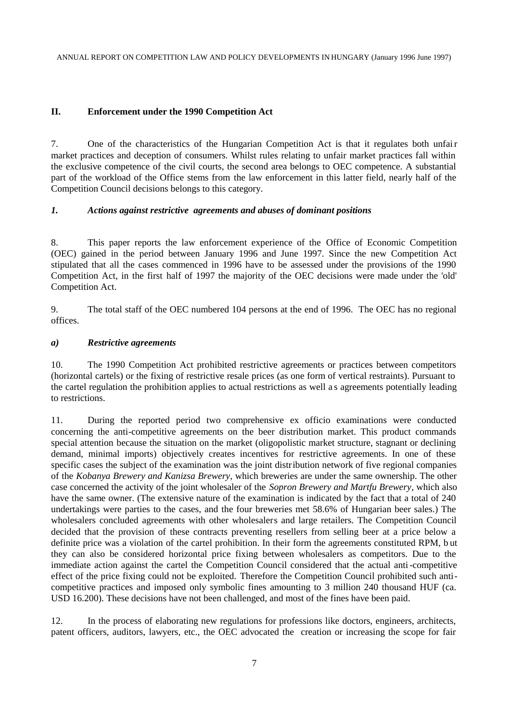## **II. Enforcement under the 1990 Competition Act**

7. One of the characteristics of the Hungarian Competition Act is that it regulates both unfair market practices and deception of consumers. Whilst rules relating to unfair market practices fall within the exclusive competence of the civil courts, the second area belongs to OEC competence. A substantial part of the workload of the Office stems from the law enforcement in this latter field, nearly half of the Competition Council decisions belongs to this category.

#### *1. Actions against restrictive agreements and abuses of dominant positions*

8. This paper reports the law enforcement experience of the Office of Economic Competition (OEC) gained in the period between January 1996 and June 1997. Since the new Competition Act stipulated that all the cases commenced in 1996 have to be assessed under the provisions of the 1990 Competition Act, in the first half of 1997 the majority of the OEC decisions were made under the 'old' Competition Act.

9. The total staff of the OEC numbered 104 persons at the end of 1996. The OEC has no regional offices.

#### *a) Restrictive agreements*

10. The 1990 Competition Act prohibited restrictive agreements or practices between competitors (horizontal cartels) or the fixing of restrictive resale prices (as one form of vertical restraints). Pursuant to the cartel regulation the prohibition applies to actual restrictions as well a s agreements potentially leading to restrictions.

11. During the reported period two comprehensive ex officio examinations were conducted concerning the anti-competitive agreements on the beer distribution market. This product commands special attention because the situation on the market (oligopolistic market structure, stagnant or declining demand, minimal imports) objectively creates incentives for restrictive agreements. In one of these specific cases the subject of the examination was the joint distribution network of five regional companies of the *Kobanya Brewery and Kanizsa Brewery*, which breweries are under the same ownership. The other case concerned the activity of the joint wholesaler of the *Sopron Brewery and Martfu Brewery*, which also have the same owner. (The extensive nature of the examination is indicated by the fact that a total of 240 undertakings were parties to the cases, and the four breweries met 58.6% of Hungarian beer sales.) The wholesalers concluded agreements with other wholesalers and large retailers. The Competition Council decided that the provision of these contracts preventing resellers from selling beer at a price below a definite price was a violation of the cartel prohibition. In their form the agreements constituted RPM, b ut they can also be considered horizontal price fixing between wholesalers as competitors. Due to the immediate action against the cartel the Competition Council considered that the actual anti-competitive effect of the price fixing could not be exploited. Therefore the Competition Council prohibited such anticompetitive practices and imposed only symbolic fines amounting to 3 million 240 thousand HUF (ca. USD 16.200). These decisions have not been challenged, and most of the fines have been paid.

12. In the process of elaborating new regulations for professions like doctors, engineers, architects, patent officers, auditors, lawyers, etc., the OEC advocated the creation or increasing the scope for fair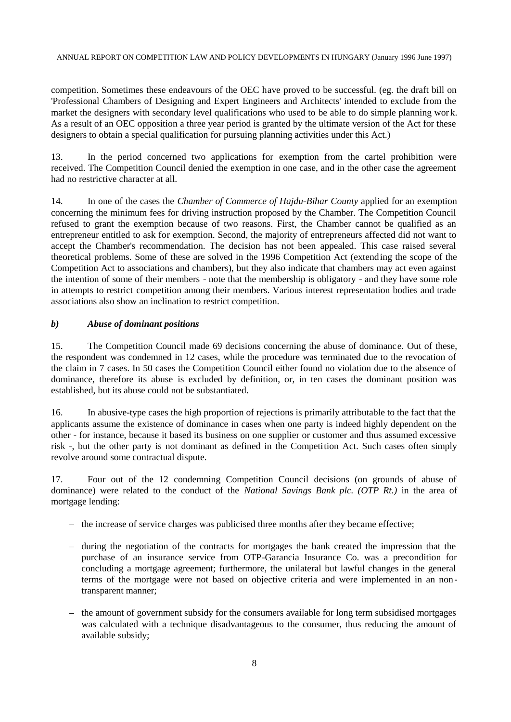competition. Sometimes these endeavours of the OEC have proved to be successful. (eg. the draft bill on 'Professional Chambers of Designing and Expert Engineers and Architects' intended to exclude from the market the designers with secondary level qualifications who used to be able to do simple planning wor k. As a result of an OEC opposition a three year period is granted by the ultimate version of the Act for these designers to obtain a special qualification for pursuing planning activities under this Act.)

13. In the period concerned two applications for exemption from the cartel prohibition were received. The Competition Council denied the exemption in one case, and in the other case the agreement had no restrictive character at all.

14. In one of the cases the *Chamber of Commerce of Hajdu-Bihar County* applied for an exemption concerning the minimum fees for driving instruction proposed by the Chamber. The Competition Council refused to grant the exemption because of two reasons. First, the Chamber cannot be qualified as an entrepreneur entitled to ask for exemption. Second, the majority of entrepreneurs affected did not want to accept the Chamber's recommendation. The decision has not been appealed. This case raised several theoretical problems. Some of these are solved in the 1996 Competition Act (extending the scope of the Competition Act to associations and chambers), but they also indicate that chambers may act even against the intention of some of their members - note that the membership is obligatory - and they have some role in attempts to restrict competition among their members. Various interest representation bodies and trade associations also show an inclination to restrict competition.

## *b) Abuse of dominant positions*

15. The Competition Council made 69 decisions concerning the abuse of dominance. Out of these, the respondent was condemned in 12 cases, while the procedure was terminated due to the revocation of the claim in 7 cases. In 50 cases the Competition Council either found no violation due to the absence of dominance, therefore its abuse is excluded by definition, or, in ten cases the dominant position was established, but its abuse could not be substantiated.

16. In abusive-type cases the high proportion of rejections is primarily attributable to the fact that the applicants assume the existence of dominance in cases when one party is indeed highly dependent on the other - for instance, because it based its business on one supplier or customer and thus assumed excessive risk -, but the other party is not dominant as defined in the Competition Act. Such cases often simply revolve around some contractual dispute.

17. Four out of the 12 condemning Competition Council decisions (on grounds of abuse of dominance) were related to the conduct of the *National Savings Bank plc. (OTP Rt.)* in the area of mortgage lending:

- the increase of service charges was publicised three months after they became effective;
- during the negotiation of the contracts for mortgages the bank created the impression that the purchase of an insurance service from OTP-Garancia Insurance Co. was a precondition for concluding a mortgage agreement; furthermore, the unilateral but lawful changes in the general terms of the mortgage were not based on objective criteria and were implemented in an nontransparent manner;
- the amount of government subsidy for the consumers available for long term subsidised mortgages was calculated with a technique disadvantageous to the consumer, thus reducing the amount of available subsidy;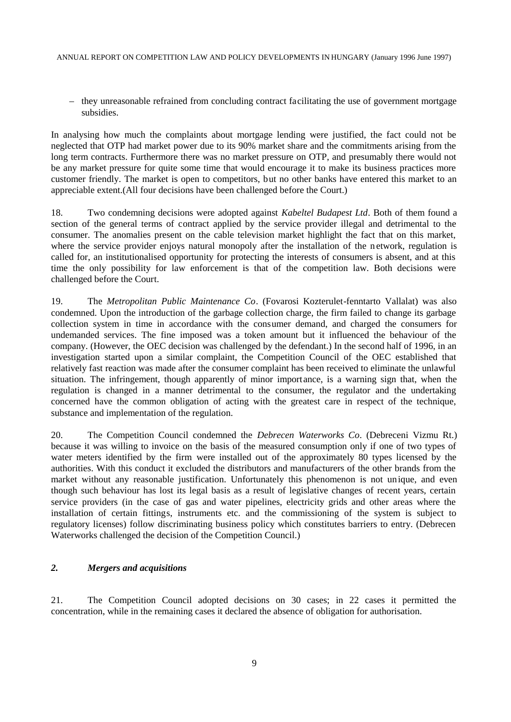– they unreasonable refrained from concluding contract facilitating the use of government mortgage subsidies.

In analysing how much the complaints about mortgage lending were justified, the fact could not be neglected that OTP had market power due to its 90% market share and the commitments arising from the long term contracts. Furthermore there was no market pressure on OTP, and presumably there would not be any market pressure for quite some time that would encourage it to make its business practices more customer friendly. The market is open to competitors, but no other banks have entered this market to an appreciable extent.(All four decisions have been challenged before the Court.)

18. Two condemning decisions were adopted against *Kabeltel Budapest Ltd*. Both of them found a section of the general terms of contract applied by the service provider illegal and detrimental to the consumer. The anomalies present on the cable television market highlight the fact that on this market, where the service provider enjoys natural monopoly after the installation of the network, regulation is called for, an institutionalised opportunity for protecting the interests of consumers is absent, and at this time the only possibility for law enforcement is that of the competition law. Both decisions were challenged before the Court.

19. The *Metropolitan Public Maintenance Co*. (Fovarosi Kozterulet-fenntarto Vallalat) was also condemned. Upon the introduction of the garbage collection charge, the firm failed to change its garbage collection system in time in accordance with the consumer demand, and charged the consumers for undemanded services. The fine imposed was a token amount but it influenced the behaviour of the company. (However, the OEC decision was challenged by the defendant.) In the second half of 1996, in an investigation started upon a similar complaint, the Competition Council of the OEC established that relatively fast reaction was made after the consumer complaint has been received to eliminate the unlawful situation. The infringement, though apparently of minor importance, is a warning sign that, when the regulation is changed in a manner detrimental to the consumer, the regulator and the undertaking concerned have the common obligation of acting with the greatest care in respect of the technique, substance and implementation of the regulation.

20. The Competition Council condemned the *Debrecen Waterworks Co*. (Debreceni Vizmu Rt.) because it was willing to invoice on the basis of the measured consumption only if one of two types of water meters identified by the firm were installed out of the approximately 80 types licensed by the authorities. With this conduct it excluded the distributors and manufacturers of the other brands from the market without any reasonable justification. Unfortunately this phenomenon is not unique, and even though such behaviour has lost its legal basis as a result of legislative changes of recent years, certain service providers (in the case of gas and water pipelines, electricity grids and other areas where the installation of certain fittings, instruments etc. and the commissioning of the system is subject to regulatory licenses) follow discriminating business policy which constitutes barriers to entry. (Debrecen Waterworks challenged the decision of the Competition Council.)

## *2. Mergers and acquisitions*

21. The Competition Council adopted decisions on 30 cases; in 22 cases it permitted the concentration, while in the remaining cases it declared the absence of obligation for authorisation.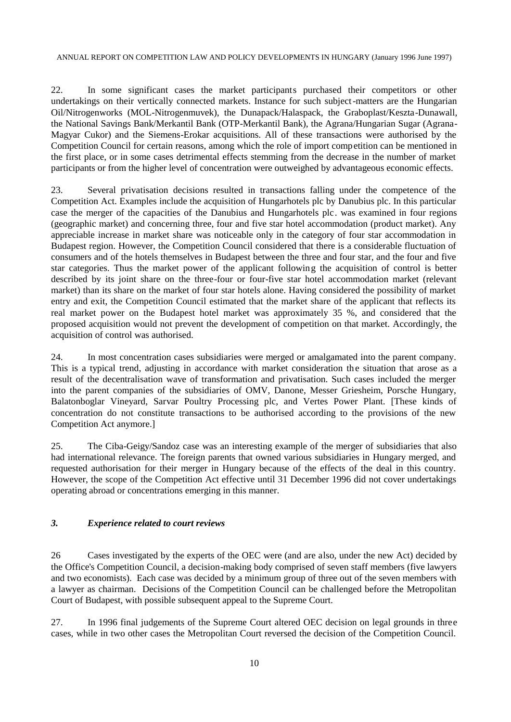22. In some significant cases the market participants purchased their competitors or other undertakings on their vertically connected markets. Instance for such subject-matters are the Hungarian Oil/Nitrogenworks (MOL-Nitrogenmuvek), the Dunapack/Halaspack, the Graboplast/Keszta-Dunawall, the National Savings Bank/Merkantil Bank (OTP-Merkantil Bank), the Agrana/Hungarian Sugar (Agrana-Magyar Cukor) and the Siemens-Erokar acquisitions. All of these transactions were authorised by the Competition Council for certain reasons, among which the role of import competition can be mentioned in the first place, or in some cases detrimental effects stemming from the decrease in the number of market participants or from the higher level of concentration were outweighed by advantageous economic effects.

23. Several privatisation decisions resulted in transactions falling under the competence of the Competition Act. Examples include the acquisition of Hungarhotels plc by Danubius plc. In this particular case the merger of the capacities of the Danubius and Hungarhotels plc. was examined in four regions (geographic market) and concerning three, four and five star hotel accommodation (product market). Any appreciable increase in market share was noticeable only in the category of four star accommodation in Budapest region. However, the Competition Council considered that there is a considerable fluctuation of consumers and of the hotels themselves in Budapest between the three and four star, and the four and five star categories. Thus the market power of the applicant following the acquisition of control is better described by its joint share on the three-four or four-five star hotel accommodation market (relevant market) than its share on the market of four star hotels alone. Having considered the possibility of market entry and exit, the Competition Council estimated that the market share of the applicant that reflects its real market power on the Budapest hotel market was approximately 35 %, and considered that the proposed acquisition would not prevent the development of competition on that market. Accordingly, the acquisition of control was authorised.

24. In most concentration cases subsidiaries were merged or amalgamated into the parent company. This is a typical trend, adjusting in accordance with market consideration the situation that arose as a result of the decentralisation wave of transformation and privatisation. Such cases included the merger into the parent companies of the subsidiaries of OMV, Danone, Messer Griesheim, Porsche Hungary, Balatonboglar Vineyard, Sarvar Poultry Processing plc, and Vertes Power Plant. [These kinds of concentration do not constitute transactions to be authorised according to the provisions of the new Competition Act anymore.]

25. The Ciba-Geigy/Sandoz case was an interesting example of the merger of subsidiaries that also had international relevance. The foreign parents that owned various subsidiaries in Hungary merged, and requested authorisation for their merger in Hungary because of the effects of the deal in this country. However, the scope of the Competition Act effective until 31 December 1996 did not cover undertakings operating abroad or concentrations emerging in this manner.

#### *3. Experience related to court reviews*

26 Cases investigated by the experts of the OEC were (and are also, under the new Act) decided by the Office's Competition Council, a decision-making body comprised of seven staff members (five lawyers and two economists). Each case was decided by a minimum group of three out of the seven members with a lawyer as chairman. Decisions of the Competition Council can be challenged before the Metropolitan Court of Budapest, with possible subsequent appeal to the Supreme Court.

27. In 1996 final judgements of the Supreme Court altered OEC decision on legal grounds in three cases, while in two other cases the Metropolitan Court reversed the decision of the Competition Council.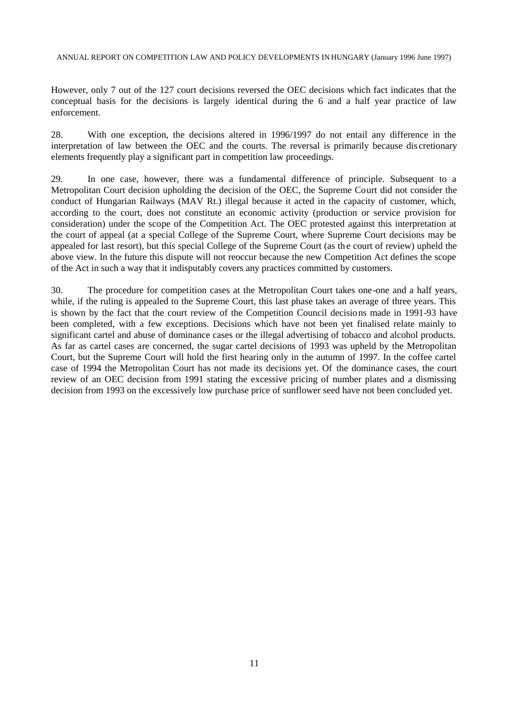However, only 7 out of the 127 court decisions reversed the OEC decisions which fact indicates that the conceptual basis for the decisions is largely identical during the 6 and a half year practice of law enforcement.

28. With one exception, the decisions altered in 1996/1997 do not entail any difference in the interpretation of law between the OEC and the courts. The reversal is primarily because dis cretionary elements frequently play a significant part in competition law proceedings.

29. In one case, however, there was a fundamental difference of principle. Subsequent to a Metropolitan Court decision upholding the decision of the OEC, the Supreme Court did not consider the conduct of Hungarian Railways (MAV Rt.) illegal because it acted in the capacity of customer, which, according to the court, does not constitute an economic activity (production or service provision for consideration) under the scope of the Competition Act. The OEC protested against this interpretation at the court of appeal (at a special College of the Supreme Court, where Supreme Court decisions may be appealed for last resort), but this special College of the Supreme Court (as the court of review) upheld the above view. In the future this dispute will not reoccur because the new Competition Act defines the scope of the Act in such a way that it indisputably covers any practices committed by customers.

30. The procedure for competition cases at the Metropolitan Court takes one-one and a half years, while, if the ruling is appealed to the Supreme Court, this last phase takes an average of three years. This is shown by the fact that the court review of the Competition Council decisions made in 1991-93 have been completed, with a few exceptions. Decisions which have not been yet finalised relate mainly to significant cartel and abuse of dominance cases or the illegal advertising of tobacco and alcohol products. As far as cartel cases are concerned, the sugar cartel decisions of 1993 was upheld by the Metropolitan Court, but the Supreme Court will hold the first hearing only in the autumn of 1997. In the coffee cartel case of 1994 the Metropolitan Court has not made its decisions yet. Of the dominance cases, the court review of an OEC decision from 1991 stating the excessive pricing of number plates and a dismissing decision from 1993 on the excessively low purchase price of sunflower seed have not been concluded yet.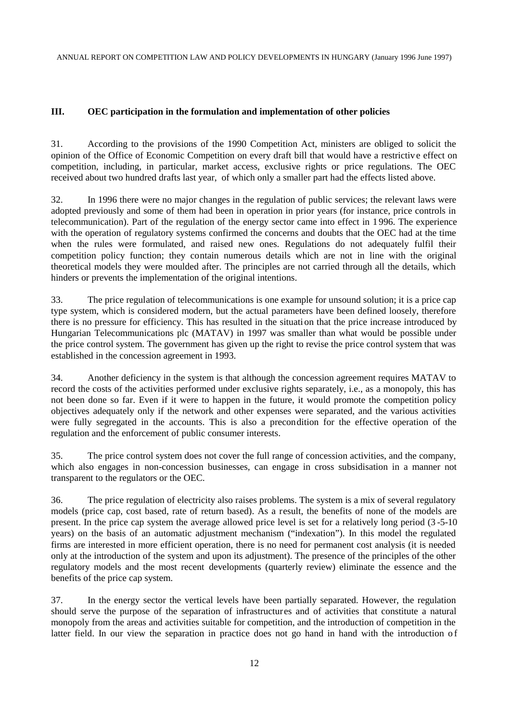## **III. OEC participation in the formulation and implementation of other policies**

31. According to the provisions of the 1990 Competition Act, ministers are obliged to solicit the opinion of the Office of Economic Competition on every draft bill that would have a restrictiv e effect on competition, including, in particular, market access, exclusive rights or price regulations. The OEC received about two hundred drafts last year, of which only a smaller part had the effects listed above.

32. In 1996 there were no major changes in the regulation of public services; the relevant laws were adopted previously and some of them had been in operation in prior years (for instance, price controls in telecommunication). Part of the regulation of the energy sector came into effect in 1 996. The experience with the operation of regulatory systems confirmed the concerns and doubts that the OEC had at the time when the rules were formulated, and raised new ones. Regulations do not adequately fulfil their competition policy function; they contain numerous details which are not in line with the original theoretical models they were moulded after. The principles are not carried through all the details, which hinders or prevents the implementation of the original intentions.

33. The price regulation of telecommunications is one example for unsound solution; it is a price cap type system, which is considered modern, but the actual parameters have been defined loosely, therefore there is no pressure for efficiency. This has resulted in the situati on that the price increase introduced by Hungarian Telecommunications plc (MATAV) in 1997 was smaller than what would be possible under the price control system. The government has given up the right to revise the price control system that was established in the concession agreement in 1993.

34. Another deficiency in the system is that although the concession agreement requires MATAV to record the costs of the activities performed under exclusive rights separately, i.e., as a monopoly, this has not been done so far. Even if it were to happen in the future, it would promote the competition policy objectives adequately only if the network and other expenses were separated, and the various activities were fully segregated in the accounts. This is also a precondition for the effective operation of the regulation and the enforcement of public consumer interests.

35. The price control system does not cover the full range of concession activities, and the company, which also engages in non-concession businesses, can engage in cross subsidisation in a manner not transparent to the regulators or the OEC.

36. The price regulation of electricity also raises problems. The system is a mix of several regulatory models (price cap, cost based, rate of return based). As a result, the benefits of none of the models are present. In the price cap system the average allowed price level is set for a relatively long period (3 -5-10 years) on the basis of an automatic adjustment mechanism ("indexation"). In this model the regulated firms are interested in more efficient operation, there is no need for permanent cost analysis (it is needed only at the introduction of the system and upon its adjustment). The presence of the principles of the other regulatory models and the most recent developments (quarterly review) eliminate the essence and the benefits of the price cap system.

37. In the energy sector the vertical levels have been partially separated. However, the regulation should serve the purpose of the separation of infrastructures and of activities that constitute a natural monopoly from the areas and activities suitable for competition, and the introduction of competition in the latter field. In our view the separation in practice does not go hand in hand with the introduction of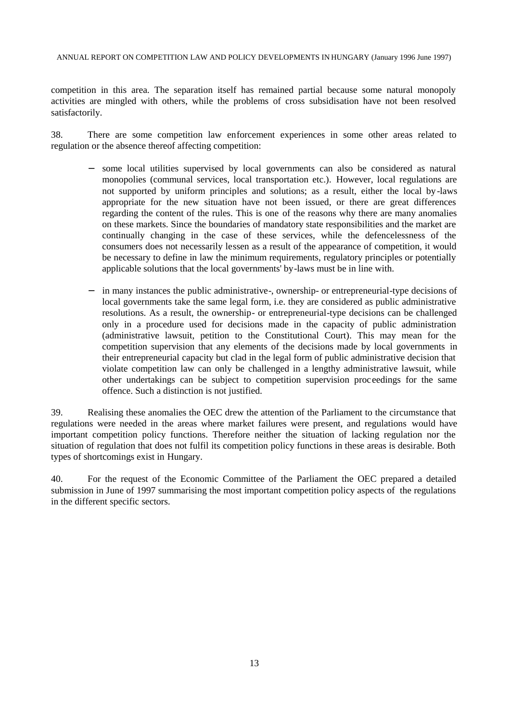competition in this area. The separation itself has remained partial because some natural monopoly activities are mingled with others, while the problems of cross subsidisation have not been resolved satisfactorily.

38. There are some competition law enforcement experiences in some other areas related to regulation or the absence thereof affecting competition:

- some local utilities supervised by local governments can also be considered as natural monopolies (communal services, local transportation etc.). However, local regulations are not supported by uniform principles and solutions; as a result, either the local by-laws appropriate for the new situation have not been issued, or there are great differences regarding the content of the rules. This is one of the reasons why there are many anomalies on these markets. Since the boundaries of mandatory state responsibilities and the market are continually changing in the case of these services, while the defencelessness of the consumers does not necessarily lessen as a result of the appearance of competition, it would be necessary to define in law the minimum requirements, regulatory principles or potentially applicable solutions that the local governments' by-laws must be in line with.
- in many instances the public administrative-, ownership- or entrepreneurial-type decisions of local governments take the same legal form, i.e. they are considered as public administrative resolutions. As a result, the ownership- or entrepreneurial-type decisions can be challenged only in a procedure used for decisions made in the capacity of public administration (administrative lawsuit, petition to the Constitutional Court). This may mean for the competition supervision that any elements of the decisions made by local governments in their entrepreneurial capacity but clad in the legal form of public administrative decision that violate competition law can only be challenged in a lengthy administrative lawsuit, while other undertakings can be subject to competition supervision proceedings for the same offence. Such a distinction is not justified.

39. Realising these anomalies the OEC drew the attention of the Parliament to the circumstance that regulations were needed in the areas where market failures were present, and regulations would have important competition policy functions. Therefore neither the situation of lacking regulation nor the situation of regulation that does not fulfil its competition policy functions in these areas is desirable. Both types of shortcomings exist in Hungary.

40. For the request of the Economic Committee of the Parliament the OEC prepared a detailed submission in June of 1997 summarising the most important competition policy aspects of the regulations in the different specific sectors.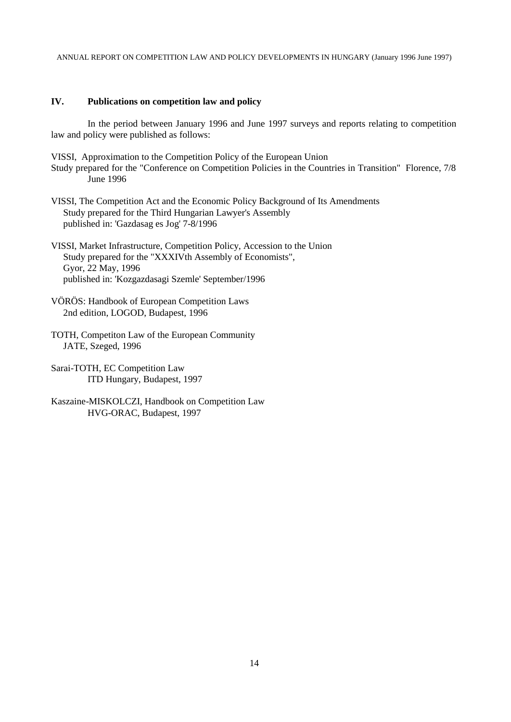#### **IV. Publications on competition law and policy**

In the period between January 1996 and June 1997 surveys and reports relating to competition law and policy were published as follows:

VISSI, Approximation to the Competition Policy of the European Union Study prepared for the "Conference on Competition Policies in the Countries in Transition" Florence, 7/8 June 1996

VISSI, The Competition Act and the Economic Policy Background of Its Amendments Study prepared for the Third Hungarian Lawyer's Assembly published in: 'Gazdasag es Jog' 7-8/1996

VISSI, Market Infrastructure, Competition Policy, Accession to the Union Study prepared for the "XXXIV<sup>th</sup> Assembly of Economists", Gyor, 22 May, 1996 published in: 'Kozgazdasagi Szemle' September/1996

- VÖRÖS: Handbook of European Competition Laws 2nd edition, LOGOD, Budapest, 1996
- TOTH, Competiton Law of the European Community JATE, Szeged, 1996

Sarai-TOTH, EC Competition Law ITD Hungary, Budapest, 1997

Kaszaine-MISKOLCZI, Handbook on Competition Law HVG-ORAC, Budapest, 1997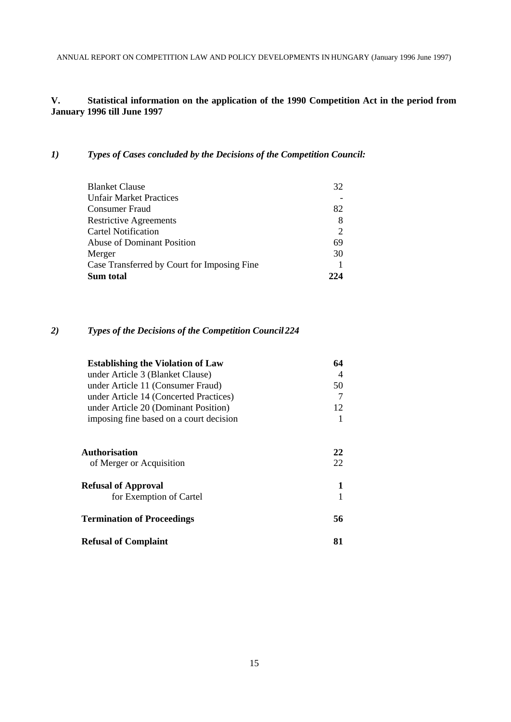## **V. Statistical information on the application of the 1990 Competition Act in the period from January 1996 till June 1997**

#### *1) Types of Cases concluded by the Decisions of the Competition Council:*

| <b>Blanket Clause</b>                       | 32  |
|---------------------------------------------|-----|
| <b>Unfair Market Practices</b>              |     |
| <b>Consumer Fraud</b>                       | 82  |
| <b>Restrictive Agreements</b>               | 8   |
| <b>Cartel Notification</b>                  |     |
| Abuse of Dominant Position                  | 69  |
| Merger                                      | 30  |
| Case Transferred by Court for Imposing Fine |     |
| Sum total                                   | 224 |

## *2) Types of the Decisions of the Competition Council 224*

| <b>Establishing the Violation of Law</b> | 64 |
|------------------------------------------|----|
| under Article 3 (Blanket Clause)         | 4  |
| under Article 11 (Consumer Fraud)        | 50 |
| under Article 14 (Concerted Practices)   | 7  |
| under Article 20 (Dominant Position)     | 12 |
| imposing fine based on a court decision  |    |
| <b>Authorisation</b>                     | 22 |
| of Merger or Acquisition                 | 22 |
| <b>Refusal of Approval</b>               | 1  |
| for Exemption of Cartel                  |    |
| <b>Termination of Proceedings</b>        | 56 |
| <b>Refusal of Complaint</b>              | 81 |